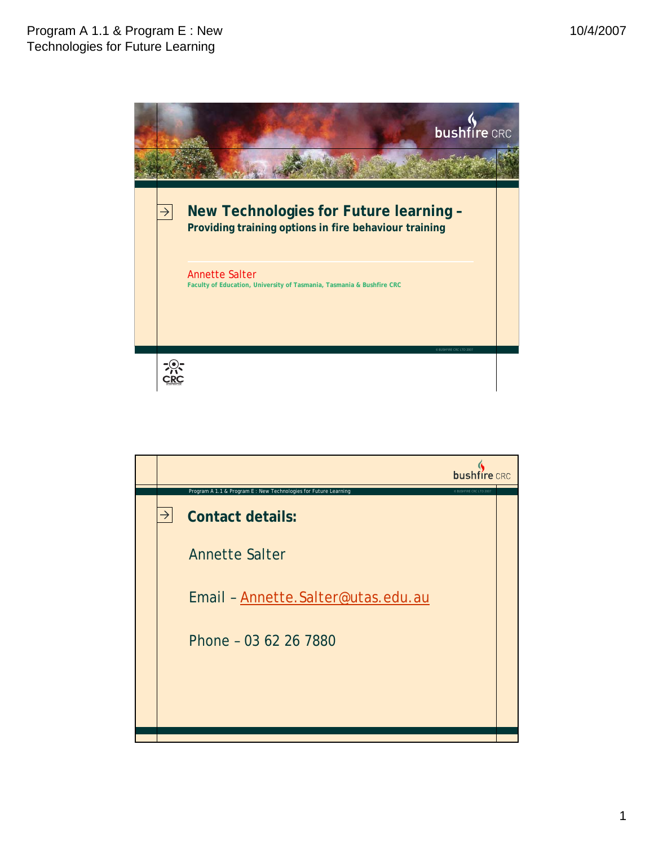

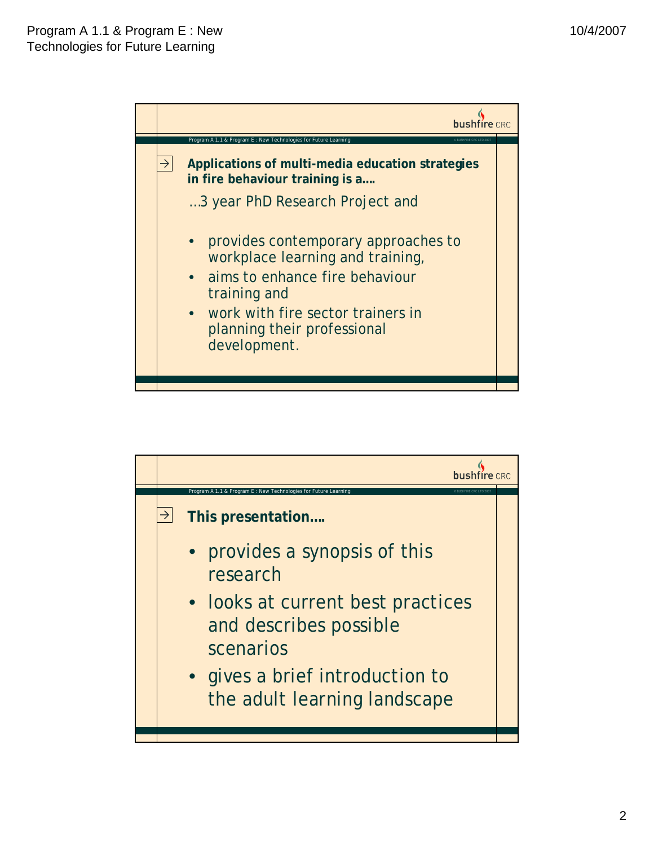

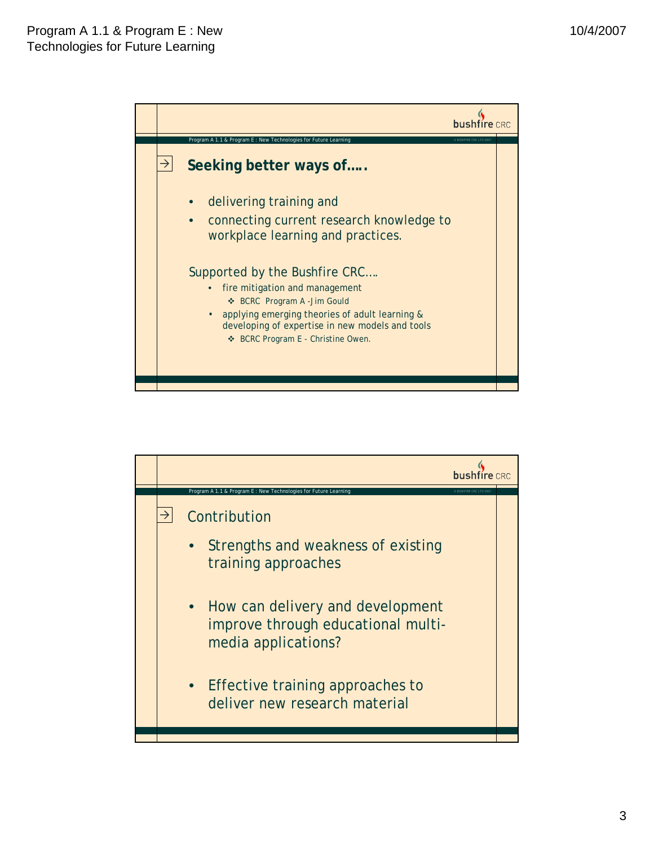

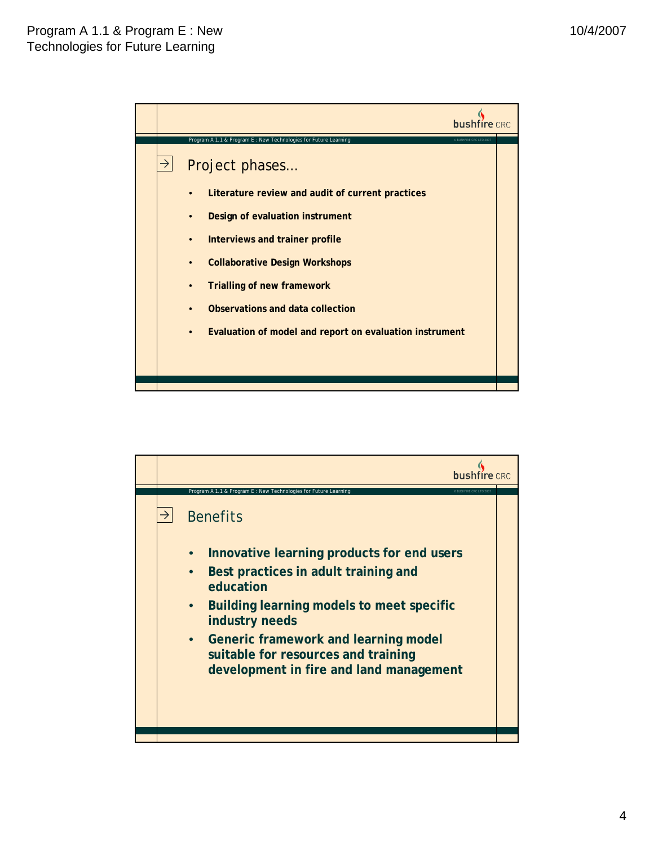

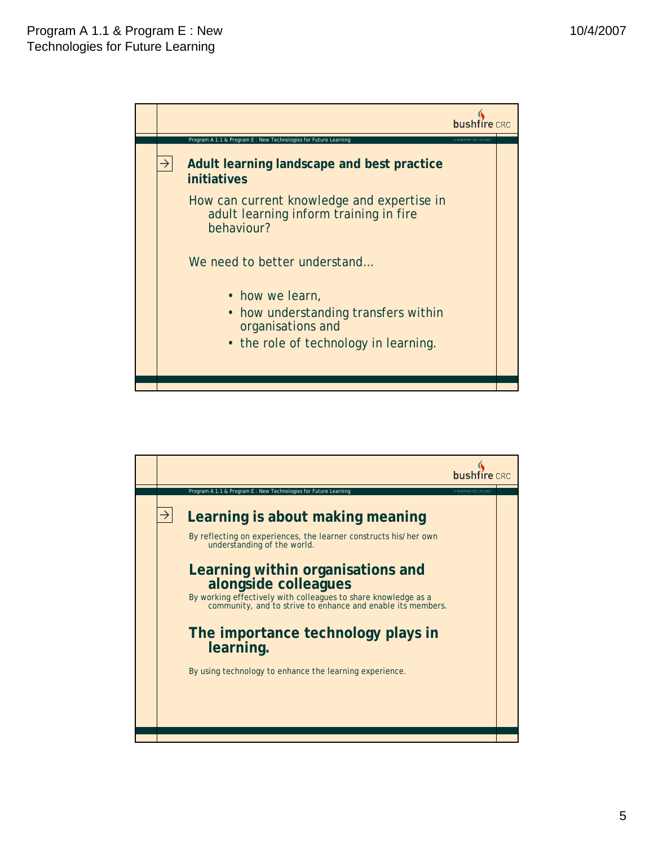

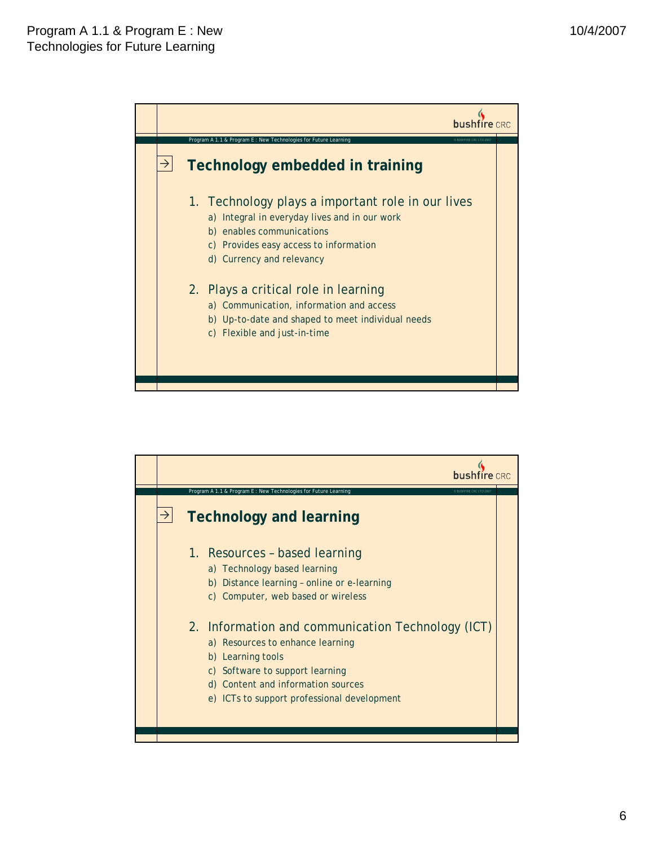

|               | bushfire CRC                                                                                                                                                                                                                       |  |
|---------------|------------------------------------------------------------------------------------------------------------------------------------------------------------------------------------------------------------------------------------|--|
|               | Program A 1.1 & Program E : New Technologies for Future Learning<br><b>P RUSHEIRE CRC LTD 2003</b>                                                                                                                                 |  |
| $\rightarrow$ | <b>Technology and learning</b>                                                                                                                                                                                                     |  |
|               | 1. Resources - based learning<br>a) Technology based learning<br>b) Distance learning - online or e-learning<br>c) Computer, web based or wireless                                                                                 |  |
|               | 2. Information and communication Technology (ICT)<br>a) Resources to enhance learning<br>b) Learning tools<br>c) Software to support learning<br>d) Content and information sources<br>e) ICTs to support professional development |  |
|               |                                                                                                                                                                                                                                    |  |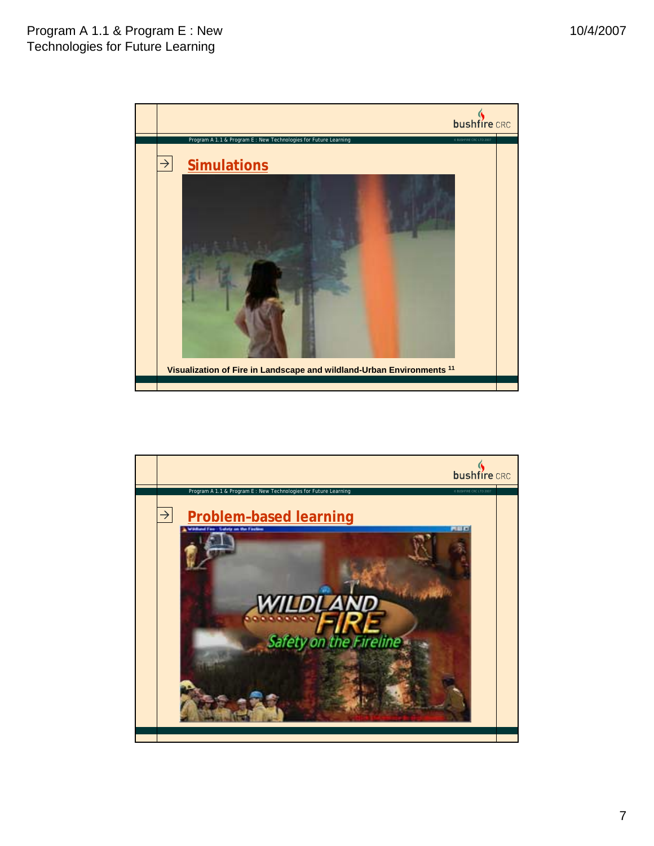

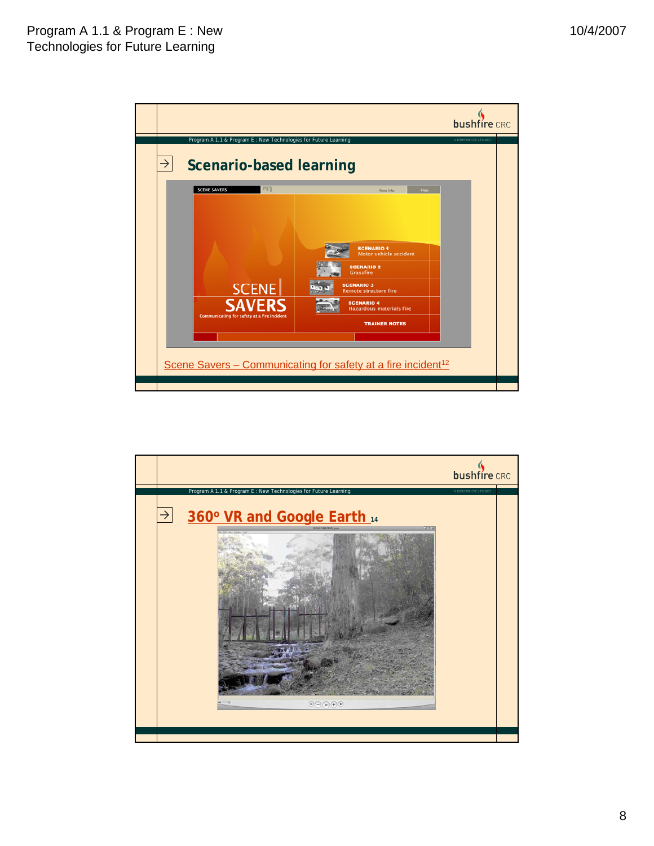

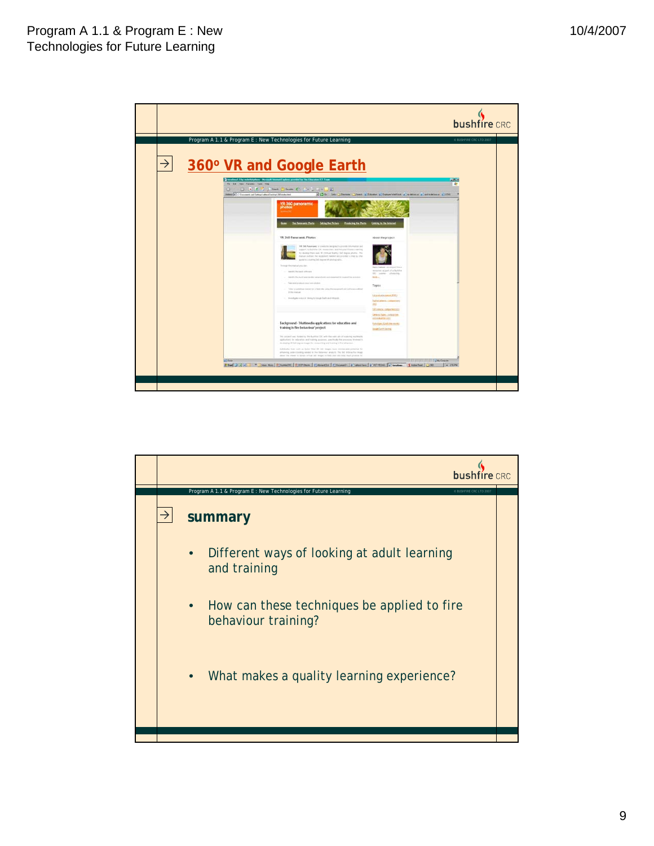